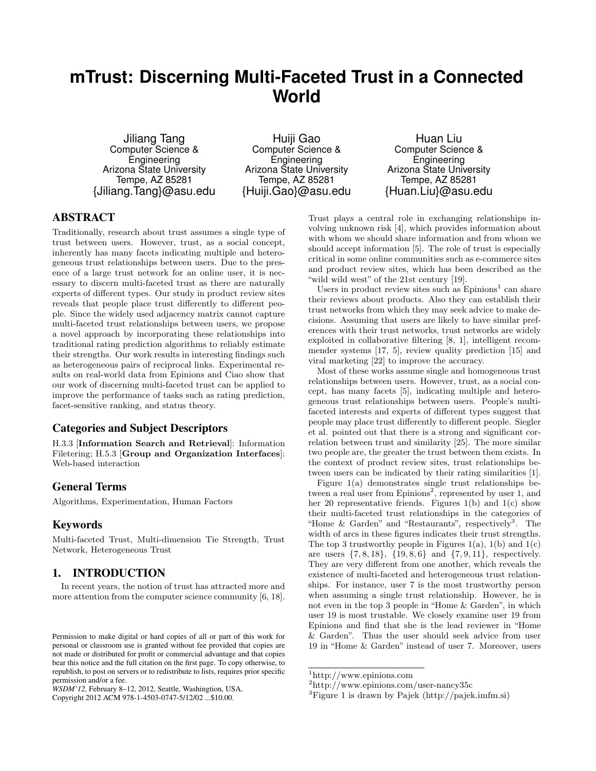# **mTrust: Discerning Multi-Faceted Trust in a Connected World**

Jiliang Tang Computer Science & Engineering Arizona State University Tempe, AZ 85281 {Jiliang.Tang}@asu.edu

Huiji Gao Computer Science & Engineering Arizona State University Tempe, AZ 85281 {Huiji.Gao}@asu.edu

Huan Liu Computer Science & Engineering Arizona State University Tempe, AZ 85281 {Huan.Liu}@asu.edu

# ABSTRACT

Traditionally, research about trust assumes a single type of trust between users. However, trust, as a social concept, inherently has many facets indicating multiple and heterogeneous trust relationships between users. Due to the presence of a large trust network for an online user, it is necessary to discern multi-faceted trust as there are naturally experts of different types. Our study in product review sites reveals that people place trust differently to different people. Since the widely used adjacency matrix cannot capture multi-faceted trust relationships between users, we propose a novel approach by incorporating these relationships into traditional rating prediction algorithms to reliably estimate their strengths. Our work results in interesting findings such as heterogeneous pairs of reciprocal links. Experimental results on real-world data from Epinions and Ciao show that our work of discerning multi-faceted trust can be applied to improve the performance of tasks such as rating prediction, facet-sensitive ranking, and status theory.

# Categories and Subject Descriptors

H.3.3 [Information Search and Retrieval]: Information Filetering; H.5.3 [Group and Organization Interfaces]: Web-based interaction

# General Terms

Algorithms, Experimentation, Human Factors

# Keywords

Multi-faceted Trust, Multi-dimension Tie Strength, Trust Network, Heterogeneous Trust

# 1. INTRODUCTION

In recent years, the notion of trust has attracted more and more attention from the computer science community [6, 18].

*WSDM'12,* February 8–12, 2012, Seattle, Washingtion, USA. Copyright 2012 ACM 978-1-4503-0747-5/12/02 ...\$10.00.

Trust plays a central role in exchanging relationships involving unknown risk [4], which provides information about with whom we should share information and from whom we should accept information [5]. The role of trust is especially critical in some online communities such as e-commerce sites and product review sites, which has been described as the "wild wild west" of the 21st century [19].

Users in product review sites such as  $Epinions<sup>1</sup>$  can share their reviews about products. Also they can establish their trust networks from which they may seek advice to make decisions. Assuming that users are likely to have similar preferences with their trust networks, trust networks are widely exploited in collaborative filtering [8, 1], intelligent recommender systems [17, 5], review quality prediction [15] and viral marketing [22] to improve the accuracy.

Most of these works assume single and homogeneous trust relationships between users. However, trust, as a social concept, has many facets [5], indicating multiple and heterogeneous trust relationships between users. People's multifaceted interests and experts of different types suggest that people may place trust differently to different people. Siegler et al. pointed out that there is a strong and significant correlation between trust and similarity [25]. The more similar two people are, the greater the trust between them exists. In the context of product review sites, trust relationships between users can be indicated by their rating similarities [1].

Figure 1(a) demonstrates single trust relationships between a real user from  $E$ pinions<sup>2</sup>, represented by user 1, and her 20 representative friends. Figures  $1(b)$  and  $1(c)$  show their multi-faceted trust relationships in the categories of "Home & Garden" and "Restaurants", respectively<sup>3</sup>. The width of arcs in these figures indicates their trust strengths. The top 3 trustworthy people in Figures 1(a), 1(b) and 1(c) are users  $\{7, 8, 18\}$ ,  $\{19, 8, 6\}$  and  $\{7, 9, 11\}$ , respectively. They are very different from one another, which reveals the existence of multi-faceted and heterogeneous trust relationships. For instance, user 7 is the most trustworthy person when assuming a single trust relationship. However, he is not even in the top 3 people in "Home & Garden", in which user 19 is most trustable. We closely examine user 19 from Epinions and find that she is the lead reviewer in "Home & Garden". Thus the user should seek advice from user 19 in "Home & Garden" instead of user 7. Moreover, users

Permission to make digital or hard copies of all or part of this work for personal or classroom use is granted without fee provided that copies are not made or distributed for profit or commercial advantage and that copies bear this notice and the full citation on the first page. To copy otherwise, to republish, to post on servers or to redistribute to lists, requires prior specific permission and/or a fee.

<sup>1</sup>http://www.epinions.com

<sup>2</sup>http://www.epinions.com/user-nancy35c

<sup>3</sup>Figure 1 is drawn by Pajek (http://pajek.imfm.si)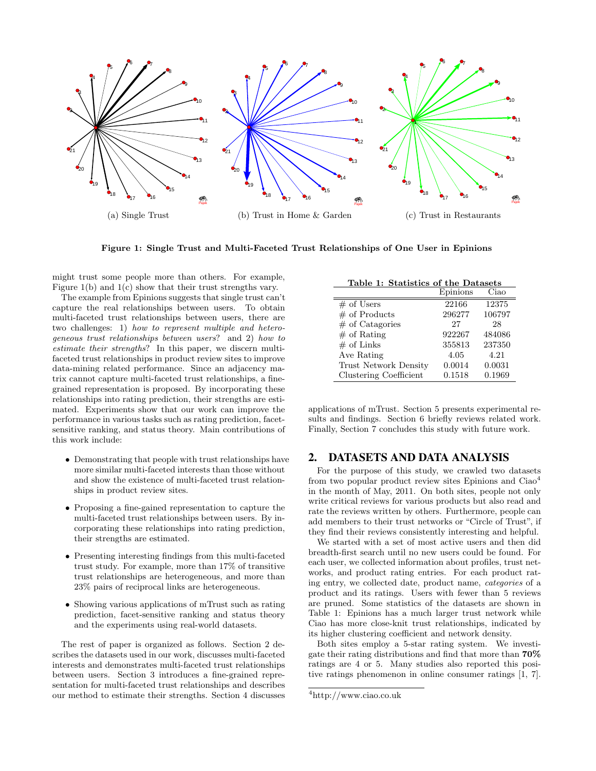

Figure 1: Single Trust and Multi-Faceted Trust Relationships of One User in Epinions

might trust some people more than others. For example, Figure 1(b) and 1(c) show that their trust strengths vary.

The example from Epinions suggests that single trust can't capture the real relationships between users. To obtain multi-faceted trust relationships between users, there are two challenges: 1) how to represent multiple and heterogeneous trust relationships between users? and 2) how to estimate their strengths? In this paper, we discern multifaceted trust relationships in product review sites to improve data-mining related performance. Since an adjacency matrix cannot capture multi-faceted trust relationships, a finegrained representation is proposed. By incorporating these relationships into rating prediction, their strengths are estimated. Experiments show that our work can improve the performance in various tasks such as rating prediction, facetsensitive ranking, and status theory. Main contributions of this work include:

- Demonstrating that people with trust relationships have more similar multi-faceted interests than those without and show the existence of multi-faceted trust relationships in product review sites.
- Proposing a fine-gained representation to capture the multi-faceted trust relationships between users. By incorporating these relationships into rating prediction, their strengths are estimated.
- Presenting interesting findings from this multi-faceted trust study. For example, more than 17% of transitive trust relationships are heterogeneous, and more than 23% pairs of reciprocal links are heterogeneous.
- Showing various applications of mTrust such as rating prediction, facet-sensitive ranking and status theory and the experiments using real-world datasets.

The rest of paper is organized as follows. Section 2 describes the datasets used in our work, discusses multi-faceted interests and demonstrates multi-faceted trust relationships between users. Section 3 introduces a fine-grained representation for multi-faceted trust relationships and describes our method to estimate their strengths. Section 4 discusses

| Table 1: Statistics of the Datasets |          |        |  |  |  |
|-------------------------------------|----------|--------|--|--|--|
|                                     | Epinions | Ciao   |  |  |  |
| $#$ of Users                        | 22166    | 12375  |  |  |  |
| $#$ of Products                     | 296277   | 106797 |  |  |  |
| $#$ of Catagories                   | 27       | 28     |  |  |  |
| $#$ of Rating                       | 922267   | 484086 |  |  |  |
| $#$ of Links                        | 355813   | 237350 |  |  |  |
| Ave Rating                          | 4.05     | 4.21   |  |  |  |
| <b>Trust Network Density</b>        | 0.0014   | 0.0031 |  |  |  |
| Clustering Coefficient              | 0.1518   | 0.1969 |  |  |  |

applications of mTrust. Section 5 presents experimental results and findings. Section 6 briefly reviews related work. Finally, Section 7 concludes this study with future work.

# 2. DATASETS AND DATA ANALYSIS

For the purpose of this study, we crawled two datasets from two popular product review sites Epinions and Ciao<sup>4</sup> in the month of May, 2011. On both sites, people not only write critical reviews for various products but also read and rate the reviews written by others. Furthermore, people can add members to their trust networks or "Circle of Trust", if they find their reviews consistently interesting and helpful.

We started with a set of most active users and then did breadth-first search until no new users could be found. For each user, we collected information about profiles, trust networks, and product rating entries. For each product rating entry, we collected date, product name, categories of a product and its ratings. Users with fewer than 5 reviews are pruned. Some statistics of the datasets are shown in Table 1: Epinions has a much larger trust network while Ciao has more close-knit trust relationships, indicated by its higher clustering coefficient and network density.

Both sites employ a 5-star rating system. We investigate their rating distributions and find that more than 70% ratings are 4 or 5. Many studies also reported this positive ratings phenomenon in online consumer ratings [1, 7].

<sup>4</sup>http://www.ciao.co.uk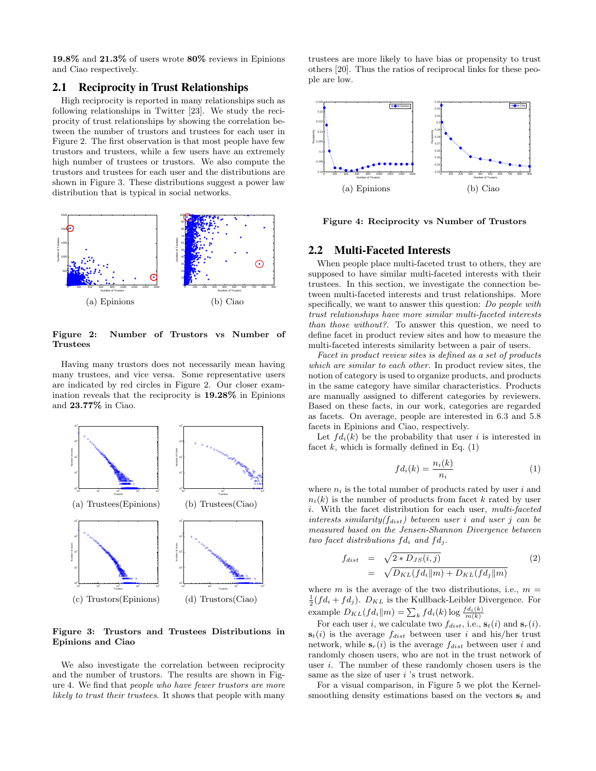19.8% and 21.3% of users wrote 80% reviews in Epinions and Ciao respectively.

# 2.1 Reciprocity in Trust Relationships

High reciprocity is reported in many relationships such as following relationships in Twitter [23]. We study the reciprocity of trust relationships by showing the correlation between the number of trustors and trustees for each user in Figure 2. The first observation is that most people have few trustors and trustees, while a few users have an extremely high number of trustees or trustors. We also compute the trustors and trustees for each user and the distributions are shown in Figure 3. These distributions suggest a power law distribution that is typical in social networks.



Figure 2: Number of Trustors vs Number of Trustees

Having many trustors does not necessarily mean having many trustees, and vice versa. Some representative users are indicated by red circles in Figure 2. Our closer examination reveals that the reciprocity is 19.28% in Epinions and 23.77% in Ciao.



Figure 3: Trustors and Trustees Distributions in Epinions and Ciao

We also investigate the correlation between reciprocity and the number of trustors. The results are shown in Figure 4. We find that people who have fewer trustors are more likely to trust their trustees. It shows that people with many

trustees are more likely to have bias or propensity to trust others [20]. Thus the ratios of reciprocal links for these people are low.



Figure 4: Reciprocity vs Number of Trustors

### 2.2 Multi-Faceted Interests

When people place multi-faceted trust to others, they are supposed to have similar multi-faceted interests with their trustees. In this section, we investigate the connection between multi-faceted interests and trust relationships. More specifically, we want to answer this question: Do people with trust relationships have more similar multi-faceted interests than those without?. To answer this question, we need to define facet in product review sites and how to measure the multi-faceted interests similarity between a pair of users.

Facet in product review sites is defined as a set of products which are similar to each other. In product review sites, the notion of category is used to organize products, and products in the same category have similar characteristics. Products are manually assigned to different categories by reviewers. Based on these facts, in our work, categories are regarded as facets. On average, people are interested in 6.3 and 5.8 facets in Epinions and Ciao, respectively.

Let  $fd_i(k)$  be the probability that user i is interested in facet k, which is formally defined in Eq.  $(1)$ 

$$
fd_i(k) = \frac{n_i(k)}{n_i} \tag{1}
$$

where  $n_i$  is the total number of products rated by user i and  $n_i(k)$  is the number of products from facet k rated by user i. With the facet distribution for each user, multi-faceted interests similarity( $f_{dist}$ ) between user i and user j can be measured based on the Jensen-Shannon Divergence between two facet distributions  $fd_i$  and  $fd_j$ .

$$
f_{dist} = \sqrt{2 * D_{JS}(i,j)}
$$
  
= 
$$
\sqrt{D_{KL}(f d_i || m) + D_{KL}(f d_j || m)}
$$
 (2)

where m is the average of the two distributions, i.e.,  $m =$  $\frac{1}{2}(fd_i + fd_j)$ .  $D_{KL}$  is the Kullback-Leibler Divergence. For example  $D_{KL}(fd_i||m) = \sum_k fd_i(k) \log \frac{fd_i(k)}{m(k)}$ 

For each user i, we calculate two  $f_{dist}$ , i.e.,  $s_t(i)$  and  $s_r(i)$ .  $s_t(i)$  is the average  $f_{dist}$  between user i and his/her trust network, while  $s_r(i)$  is the average  $f_{dist}$  between user i and randomly chosen users, who are not in the trust network of user i. The number of these randomly chosen users is the same as the size of user  $i$  's trust network.

For a visual comparison, in Figure 5 we plot the Kernelsmoothing density estimations based on the vectors  $s_t$  and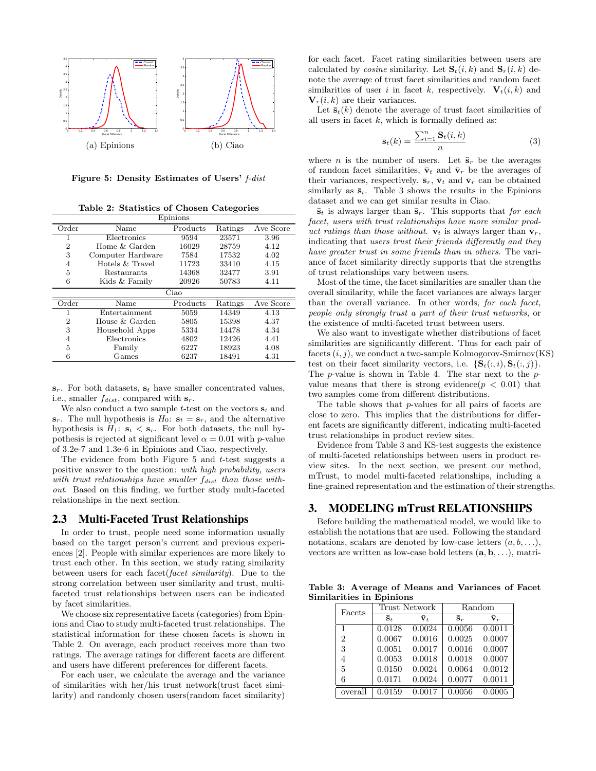

Figure 5: Density Estimates of Users' f-dist

Table 2: Statistics of Chosen Categories

| Epinions       |                           |          |         |           |  |  |  |
|----------------|---------------------------|----------|---------|-----------|--|--|--|
| Order          | Name                      | Products | Ratings | Ave Score |  |  |  |
| 1              | Electronics               | 9594     | 23571   | 3.96      |  |  |  |
| 2              | Home & Garden             | 16029    | 28759   | 4.12      |  |  |  |
| 3              | Computer Hardware         | 7584     | 17532   | 4.02      |  |  |  |
| 4              | Hotels & Travel           | 11723    | 33410   | 4.15      |  |  |  |
| 5              | Restaurants               | 14368    | 32477   | 3.91      |  |  |  |
| 6              | Kids & Family             | 20926    | 50783   | 4.11      |  |  |  |
|                | $\overline{\text{C}}$ iao |          |         |           |  |  |  |
| Order          | Name                      | Products | Ratings | Ave Score |  |  |  |
|                | Entertainment             | 5059     | 14349   | 4.13      |  |  |  |
| $\overline{2}$ | House & Garden            | 5805     | 15398   | 4.37      |  |  |  |
| 3              | Household Apps            | 5334     | 14478   | 4.34      |  |  |  |
| $\overline{4}$ | Electronics               | 4802     | 12426   | 4.41      |  |  |  |
| 5              | Family                    | 6227     | 18923   | 4.08      |  |  |  |
| 6              | Games                     | 6237     | 18491   | 4.31      |  |  |  |

 $\mathbf{s}_r$ . For both datasets,  $\mathbf{s}_t$  have smaller concentrated values, i.e., smaller  $f_{dist}$ , compared with  $s_r$ .

We also conduct a two sample *t*-test on the vectors  $s_t$  and  $\mathbf{s}_r$ . The null hypothesis is  $H_0$ :  $\mathbf{s}_t = \mathbf{s}_r$ , and the alternative hypothesis is  $H_1$ :  $s_t < s_r$ . For both datasets, the null hypothesis is rejected at significant level  $\alpha = 0.01$  with p-value of 3.2e-7 and 1.3e-6 in Epinions and Ciao, respectively.

The evidence from both Figure  $5$  and  $t$ -test suggests a positive answer to the question: with high probability, users with trust relationships have smaller  $f_{dist}$  than those without. Based on this finding, we further study multi-faceted relationships in the next section.

### 2.3 Multi-Faceted Trust Relationships

In order to trust, people need some information usually based on the target person's current and previous experiences [2]. People with similar experiences are more likely to trust each other. In this section, we study rating similarity between users for each facet(facet similarity). Due to the strong correlation between user similarity and trust, multifaceted trust relationships between users can be indicated by facet similarities.

We choose six representative facets (categories) from Epinions and Ciao to study multi-faceted trust relationships. The statistical information for these chosen facets is shown in Table 2. On average, each product receives more than two ratings. The average ratings for different facets are different and users have different preferences for different facets.

For each user, we calculate the average and the variance of similarities with her/his trust network(trust facet similarity) and randomly chosen users(random facet similarity) for each facet. Facet rating similarities between users are calculated by *cosine* similarity. Let  $S_t(i, k)$  and  $S_r(i, k)$  denote the average of trust facet similarities and random facet similarities of user i in facet k, respectively.  $V_t(i, k)$  and  $V_r(i, k)$  are their variances.

Let  $\bar{\mathbf{s}}_t(k)$  denote the average of trust facet similarities of all users in facet  $k$ , which is formally defined as:

$$
\bar{\mathbf{s}}_t(k) = \frac{\sum_{i=1}^n \mathbf{S}_t(i,k)}{n} \tag{3}
$$

where *n* is the number of users. Let  $\bar{\mathbf{s}}_r$  be the averages of random facet similarities,  $\bar{\mathbf{v}}_t$  and  $\bar{\mathbf{v}}_r$  be the averages of their variances, respectively.  $\bar{\mathbf{s}}_r$ ,  $\bar{\mathbf{v}}_t$  and  $\bar{\mathbf{v}}_r$  can be obtained similarly as  $\bar{\mathbf{s}}_t$ . Table 3 shows the results in the Epinions dataset and we can get similar results in Ciao.

 $\bar{\mathbf{s}}_t$  is always larger than  $\bar{\mathbf{s}}_r$ . This supports that for each facet, users with trust relationships have more similar product ratings than those without.  $\bar{\mathbf{v}}_t$  is always larger than  $\bar{\mathbf{v}}_r$ , indicating that users trust their friends differently and they have greater trust in some friends than in others. The variance of facet similarity directly supports that the strengths of trust relationships vary between users.

Most of the time, the facet similarities are smaller than the overall similarity, while the facet variances are always larger than the overall variance. In other words, for each facet, people only strongly trust a part of their trust networks, or the existence of multi-faceted trust between users.

We also want to investigate whether distributions of facet similarities are significantly different. Thus for each pair of facets  $(i, j)$ , we conduct a two-sample Kolmogorov-Smirnov $(KS)$ test on their facet similarity vectors, i.e.  $\{S_t(:, i), S_t(:, j)\}.$ The p-value is shown in Table 4. The star next to the pvalue means that there is strong evidence( $p < 0.01$ ) that two samples come from different distributions.

The table shows that p-values for all pairs of facets are close to zero. This implies that the distributions for different facets are significantly different, indicating multi-faceted trust relationships in product review sites.

Evidence from Table 3 and KS-test suggests the existence of multi-faceted relationships between users in product review sites. In the next section, we present our method, mTrust, to model multi-faceted relationships, including a fine-grained representation and the estimation of their strengths.

# 3. MODELING mTrust RELATIONSHIPS

Before building the mathematical model, we would like to establish the notations that are used. Following the standard notations, scalars are denoted by low-case letters  $(a, b, \ldots),$ vectors are written as low-case bold letters  $(a, b, \ldots)$ , matri-

Table 3: Average of Means and Variances of Facet Similarities in Epinions

| Facets         |                                              | <b>Trust Network</b> | Random               |                      |  |
|----------------|----------------------------------------------|----------------------|----------------------|----------------------|--|
|                | $\bar{\mathbf{s}}_t$<br>$\bar{\mathbf{v}}_t$ |                      | $\bar{\mathbf{s}}_r$ | $\bar{\mathbf{V}}_r$ |  |
| 1              | 0.0128                                       | 0.0024               | 0.0056               | 0.0011               |  |
| $\overline{2}$ | 0.0067                                       | 0.0016               | 0.0025               | 0.0007               |  |
| 3              | 0.0051                                       | 0.0017               | 0.0016               | 0.0007               |  |
| 4              | 0.0053                                       | 0.0018               | 0.0018               | 0.0007               |  |
| 5              | 0.0150                                       | 0.0024               | 0.0064               | 0.0012               |  |
| 6              | 0.0171                                       | 0.0024               | 0.0077               | 0.0011               |  |
| overall        | 0.0159                                       | 0.0017               | 0.0056               | 0.0005               |  |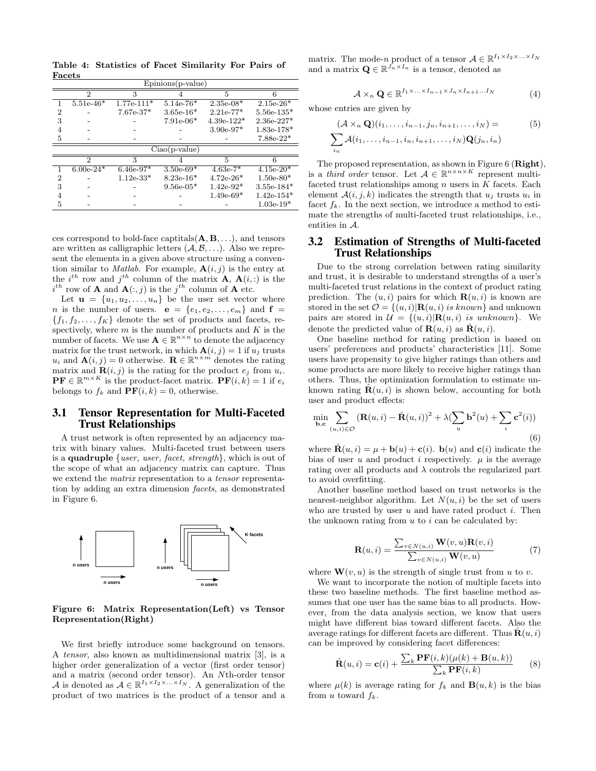Table 4: Statistics of Facet Similarity For Pairs of Facets

| $E$ pinions $(p$ -value $)$ |                |                        |             |              |              |  |
|-----------------------------|----------------|------------------------|-------------|--------------|--------------|--|
|                             | $\mathfrak{D}$ | 3                      |             | 5            | 6            |  |
|                             | $5.51e-46*$    | $1.77e-111*$           | $5.14e-76*$ | $2.35e-08*$  | $2.15e-26*$  |  |
| 2                           |                | $7.67e-37*$            | $3.65e-16*$ | $2.21e-77*$  | $5.56e-135*$ |  |
| 3                           |                |                        | $7.91e-06*$ | $4.39e-122*$ | $2.36e-227*$ |  |
|                             |                |                        |             | $3.90e-97*$  | $1.83e-178*$ |  |
| 5                           |                |                        |             |              | $7.88e-22*$  |  |
| $Ciao(p-value)$             |                |                        |             |              |              |  |
|                             |                |                        |             |              |              |  |
|                             | $\mathcal{D}$  | 3                      |             | 5            |              |  |
|                             | $6.00e-24*$    | $6.\overline{46e-97*}$ | $3.50e-69*$ | $4.63e-7*$   | $4.15e-20*$  |  |
| $\overline{2}$              |                | $1.12e-33*$            | $8.23e-16*$ | $4.72e-26*$  | $1.50e-80*$  |  |
| 3                           |                |                        | $9.56e-05*$ | $1.42e-92*$  | $3.55e-184*$ |  |
|                             |                |                        |             | $1.49e-69*$  | $1.42e-154*$ |  |

ces correspond to bold-face captitals $(A, B, \ldots)$ , and tensors are written as calligraphic letters  $(A, \mathcal{B}, \ldots)$ . Also we represent the elements in a given above structure using a convention similar to *Matlab*. For example,  $A(i, j)$  is the entry at the  $i^{th}$  row and  $j^{th}$  column of the matrix **A**, **A** $(i, :)$  is the  $i^{th}$  row of **A** and  $\mathbf{A}(:,j)$  is the  $j^{th}$  column of **A** etc.

Let  $\mathbf{u} = \{u_1, u_2, \ldots, u_n\}$  be the user set vector where *n* is the number of users.  $e = \{e_1, e_2, \ldots, e_m\}$  and  $f =$  ${f_1, f_2, \ldots, f_K}$  denote the set of products and facets, respectively, where  $m$  is the number of products and  $K$  is the number of facets. We use  $\mathbf{A} \in \mathbb{R}^{n \times n}$  to denote the adjacency matrix for the trust network, in which  $\mathbf{A}(i, j) = 1$  if  $u_j$  trusts  $u_i$  and  $\mathbf{A}(i, j) = 0$  otherwise.  $\mathbf{R} \in \mathbb{R}^{n \times m}$  denotes the rating matrix and  $\mathbf{R}(i, j)$  is the rating for the product  $e_j$  from  $u_i$ .  $\mathbf{PF} \in \mathbb{R}^{m \times K}$  is the product-facet matrix.  $\mathbf{PF}(i,k) = 1$  if  $e_i$ belongs to  $f_k$  and  $PF(i, k) = 0$ , otherwise.

### 3.1 Tensor Representation for Multi-Faceted Trust Relationships

A trust network is often represented by an adjacency matrix with binary values. Multi-faceted trust between users is a **quadruple** {*user, user, facet, strength*}, which is out of the scope of what an adjacency matrix can capture. Thus we extend the *matrix* representation to a *tensor* representation by adding an extra dimension facets, as demonstrated in Figure 6.



Figure 6: Matrix Representation(Left) vs Tensor Representation(Right)

We first briefly introduce some background on tensors. A tensor, also known as multidimensional matrix [3], is a higher order generalization of a vector (first order tensor) and a matrix (second order tensor). An Nth-order tensor A is denoted as  $A \in \mathbb{R}^{I_1 \times I_2 \times \ldots \times I_N}$ . A generalization of the product of two matrices is the product of a tensor and a matrix. The mode-n product of a tensor  $A \in \mathbb{R}^{I_1 \times I_2 \times \ldots \times I_N}$ and a matrix  $\mathbf{Q} \in \mathbb{R}^{\bar{J_n} \times I_n}$  is a tensor, denoted as

$$
\mathcal{A} \times_n \mathbf{Q} \in \mathbb{R}^{I_1 \times \ldots \times I_{n-1} \times J_n \times I_{n+1} \ldots I_N}
$$
(4)

whose entries are given by

$$
(\mathcal{A} \times_n \mathbf{Q})(i_1, \dots, i_{n-1}, j_n, i_{n+1}, \dots, i_N) =
$$
  

$$
\sum_{i_n} \mathcal{A}(i_1, \dots, i_{n-1}, i_n, i_{n+1}, \dots, i_N) \mathbf{Q}(j_n, i_n)
$$
 (5)

The proposed representation, as shown in Figure 6 (**Right**), is a third order tensor. Let  $A \in \mathbb{R}^{n \times n \times K}$  represent multifaceted trust relationships among  $n$  users in  $K$  facets. Each element  $A(i, j, k)$  indicates the strength that  $u_i$  trusts  $u_i$  in facet  $f_k$ . In the next section, we introduce a method to estimate the strengths of multi-faceted trust relationships, i.e., entities in A.

# 3.2 Estimation of Strengths of Multi-faceted Trust Relationships

Due to the strong correlation between rating similarity and trust, it is desirable to understand strengths of a user's multi-faceted trust relations in the context of product rating prediction. The  $(u, i)$  pairs for which  $\mathbf{R}(u, i)$  is known are stored in the set  $\mathcal{O} = \{(u, i) | \mathbf{R}(u, i)$  is known and unknown pairs are stored in  $\mathcal{U} = \{(u, i) | \mathbf{R}(u, i)$  is unknown}. We denote the predicted value of  $\mathbf{R}(u, i)$  as  $\hat{\mathbf{R}}(u, i)$ .

One baseline method for rating prediction is based on users' preferences and products' characteristics [11]. Some users have propensity to give higher ratings than others and some products are more likely to receive higher ratings than others. Thus, the optimization formulation to estimate unknown rating  $\mathbf{R}(u, i)$  is shown below, accounting for both user and product effects:

$$
\min_{\mathbf{b}, \mathbf{c}} \sum_{(u,i) \in \mathcal{O}} \left( \mathbf{R}(u,i) - \hat{\mathbf{R}}(u,i) \right)^2 + \lambda \left( \sum_u \mathbf{b}^2(u) + \sum_i \mathbf{c}^2(i) \right)
$$
\n(6)

where  $\mathbf{R}(u, i) = \mu + \mathbf{b}(u) + \mathbf{c}(i)$ .  $\mathbf{b}(u)$  and  $\mathbf{c}(i)$  indicate the bias of user u and product i respectively.  $\mu$  is the average rating over all products and  $\lambda$  controls the regularized part to avoid overfitting.

Another baseline method based on trust networks is the nearest-neighbor algorithm. Let  $N(u, i)$  be the set of users who are trusted by user  $u$  and have rated product  $i$ . Then the unknown rating from  $u$  to  $i$  can be calculated by:

$$
\mathbf{R}(u,i) = \frac{\sum_{v \in N(u,i)} \mathbf{W}(v,u) \mathbf{R}(v,i)}{\sum_{v \in N(u,i)} \mathbf{W}(v,u)}
$$
(7)

where  $\mathbf{W}(v, u)$  is the strength of single trust from u to v.

We want to incorporate the notion of multiple facets into these two baseline methods. The first baseline method assumes that one user has the same bias to all products. However, from the data analysis section, we know that users might have different bias toward different facets. Also the average ratings for different facets are different. Thus  $\mathbf{R}(u, i)$ can be improved by considering facet differences:

$$
\hat{\mathbf{R}}(u,i) = \mathbf{c}(i) + \frac{\sum_{k} \mathbf{P} \mathbf{F}(i,k) (\mu(k) + \mathbf{B}(u,k))}{\sum_{k} \mathbf{P} \mathbf{F}(i,k)} \tag{8}
$$

where  $\mu(k)$  is average rating for  $f_k$  and  $\mathbf{B}(u,k)$  is the bias from u toward  $f_k$ .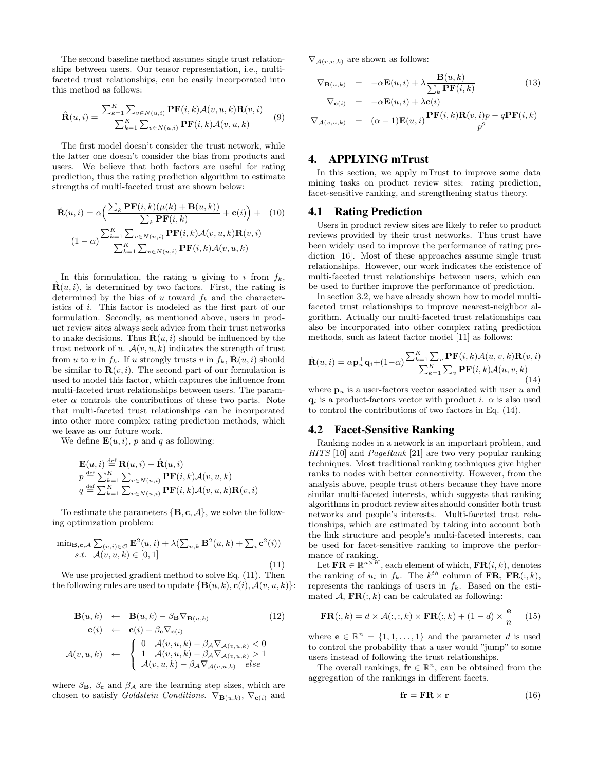The second baseline method assumes single trust relationships between users. Our tensor representation, i.e., multifaceted trust relationships, can be easily incorporated into this method as follows:

$$
\hat{\mathbf{R}}(u,i) = \frac{\sum_{k=1}^{K} \sum_{v \in N(u,i)} \mathbf{P} \mathbf{F}(i,k) \mathcal{A}(v,u,k) \mathbf{R}(v,i)}{\sum_{k=1}^{K} \sum_{v \in N(u,i)} \mathbf{P} \mathbf{F}(i,k) \mathcal{A}(v,u,k)} \tag{9}
$$

The first model doesn't consider the trust network, while the latter one doesn't consider the bias from products and users. We believe that both factors are useful for rating prediction, thus the rating prediction algorithm to estimate strengths of multi-faceted trust are shown below:

$$
\hat{\mathbf{R}}(u,i) = \alpha \Big( \frac{\sum_{k} \mathbf{P} \mathbf{F}(i,k) (\mu(k) + \mathbf{B}(u,k))}{\sum_{k} \mathbf{P} \mathbf{F}(i,k)} + \mathbf{c}(i) \Big) + (10)
$$
\n
$$
(1 - \alpha) \frac{\sum_{k=1}^{K} \sum_{v \in N(u,i)} \mathbf{P} \mathbf{F}(i,k) \mathcal{A}(v,u,k) \mathbf{R}(v,i)}{\sum_{k=1}^{K} \sum_{v \in N(u,i)} \mathbf{P} \mathbf{F}(i,k) \mathcal{A}(v,u,k)}
$$

In this formulation, the rating u giving to i from  $f_k$ ,  $\mathbf{R}(u, i)$ , is determined by two factors. First, the rating is determined by the bias of u toward  $f_k$  and the characteristics of i. This factor is modeled as the first part of our formulation. Secondly, as mentioned above, users in product review sites always seek advice from their trust networks to make decisions. Thus  $\mathbf{R}(u, i)$  should be influenced by the trust network of u.  $A(v, u, k)$  indicates the strength of trust from u to v in  $f_k$ . If u strongly trusts v in  $f_k$ ,  $\hat{\mathbf{R}}(u, i)$  should be similar to  $\mathbf{R}(v, i)$ . The second part of our formulation is used to model this factor, which captures the influence from multi-faceted trust relationships between users. The parameter  $\alpha$  controls the contributions of these two parts. Note that multi-faceted trust relationships can be incorporated into other more complex rating prediction methods, which we leave as our future work.

We define  $\mathbf{E}(u, i)$ , p and q as following:

$$
\mathbf{E}(u, i) \stackrel{\text{def}}{=} \mathbf{R}(u, i) - \hat{\mathbf{R}}(u, i)
$$
\n
$$
p \stackrel{\text{def}}{=} \sum_{k=1}^{K} \sum_{v \in N(u, i)} \mathbf{P} \mathbf{F}(i, k) \mathcal{A}(v, u, k)
$$
\n
$$
q \stackrel{\text{def}}{=} \sum_{k=1}^{K} \sum_{v \in N(u, i)} \mathbf{P} \mathbf{F}(i, k) \mathcal{A}(v, u, k) \mathbf{R}(v, i)
$$

To estimate the parameters  $\{B, c, A\}$ , we solve the following optimization problem:

$$
\min_{\mathbf{B},\mathbf{c},\mathcal{A}} \sum_{(u,i)\in\mathcal{O}} \mathbf{E}^2(u,i) + \lambda (\sum_{u,k} \mathbf{B}^2(u,k) + \sum_i \mathbf{c}^2(i))
$$
  
s.t.  $\mathcal{A}(v,u,k) \in [0,1]$  (11)

We use projected gradient method to solve Eq.  $(11)$ . Then the following rules are used to update  $\{B(u, k), c(i), A(v, u, k)\}$ :

$$
\mathbf{B}(u,k) \leftarrow \mathbf{B}(u,k) - \beta_{\mathbf{B}} \nabla_{\mathbf{B}(u,k)} \qquad (12)
$$
  
\n
$$
\mathbf{c}(i) \leftarrow \mathbf{c}(i) - \beta_{\mathbf{c}} \nabla_{\mathbf{c}(i)} \qquad (12)
$$
  
\n
$$
\mathcal{A}(v,u,k) \leftarrow \begin{cases} 0 & \mathcal{A}(v,u,k) - \beta_{\mathcal{A}} \nabla_{\mathcal{A}(v,u,k)} < 0 \\ 1 & \mathcal{A}(v,u,k) - \beta_{\mathcal{A}} \nabla_{\mathcal{A}(v,u,k)} > 1 \\ \mathcal{A}(v,u,k) - \beta_{\mathcal{A}} \nabla_{\mathcal{A}(v,u,k)} & else \end{cases}
$$

where  $\beta_{\mathbf{B}}, \beta_{\mathbf{c}}$  and  $\beta_{\mathcal{A}}$  are the learning step sizes, which are chosen to satisfy Goldstein Conditions.  $\nabla_{\mathbf{B}(u,k)}$ ,  $\nabla_{\mathbf{c}(i)}$  and  $\nabla_{\mathcal{A}(v,u,k)}$  are shown as follows:

$$
\nabla_{\mathbf{B}(u,k)} = -\alpha \mathbf{E}(u,i) + \lambda \frac{\mathbf{B}(u,k)}{\sum_{k} \mathbf{P} \mathbf{F}(i,k)}
$$
(13)  

$$
\nabla_{\mathbf{c}(i)} = -\alpha \mathbf{E}(u,i) + \lambda \mathbf{c}(i)
$$

$$
\nabla_{\mathcal{A}(v,u,k)} = (\alpha - 1)\mathbf{E}(u,i)\frac{\mathbf{P}\mathbf{F}(i,k)\mathbf{R}(v,i)p - q\mathbf{P}\mathbf{F}(i,k)}{p^2}
$$

# 4. APPLYING mTrust

In this section, we apply mTrust to improve some data mining tasks on product review sites: rating prediction, facet-sensitive ranking, and strengthening status theory.

### 4.1 Rating Prediction

Users in product review sites are likely to refer to product reviews provided by their trust networks. Thus trust have been widely used to improve the performance of rating prediction [16]. Most of these approaches assume single trust relationships. However, our work indicates the existence of multi-faceted trust relationships between users, which can be used to further improve the performance of prediction.

In section 3.2, we have already shown how to model multifaceted trust relationships to improve nearest-neighbor algorithm. Actually our multi-faceted trust relationships can also be incorporated into other complex rating prediction methods, such as latent factor model [11] as follows:

$$
\hat{\mathbf{R}}(u,i) = \alpha \mathbf{p}_u^{\top} \mathbf{q}_i + (1-\alpha) \frac{\sum_{k=1}^{K} \sum_{v} \mathbf{P} \mathbf{F}(i,k) \mathcal{A}(u,v,k) \mathbf{R}(v,i)}{\sum_{k=1}^{K} \sum_{v} \mathbf{P} \mathbf{F}(i,k) \mathcal{A}(u,v,k)}
$$
\n(14)

where  $\mathbf{p}_u$  is a user-factors vector associated with user u and  $q_i$  is a product-factors vector with product i.  $\alpha$  is also used to control the contributions of two factors in Eq. (14).

#### 4.2 Facet-Sensitive Ranking

Ranking nodes in a network is an important problem, and HITS [10] and *PageRank* [21] are two very popular ranking techniques. Most traditional ranking techniques give higher ranks to nodes with better connectivity. However, from the analysis above, people trust others because they have more similar multi-faceted interests, which suggests that ranking algorithms in product review sites should consider both trust networks and people's interests. Multi-faceted trust relationships, which are estimated by taking into account both the link structure and people's multi-faceted interests, can be used for facet-sensitive ranking to improve the performance of ranking.

Let  $\mathbf{FR} \in \mathbb{R}^{n \times K}$ , each element of which,  $\mathbf{FR}(i, k)$ , denotes the ranking of  $u_i$  in  $f_k$ . The  $k^{th}$  column of FR, FR $(:, k)$ , represents the rankings of users in  $f_k$ . Based on the estimated A,  $\textbf{FR}(:,k)$  can be calculated as following:

$$
\mathbf{FR}(:,k) = d \times \mathcal{A}(:,:,k) \times \mathbf{FR}(:,k) + (1-d) \times \frac{\mathbf{e}}{n} \quad (15)
$$

where  $\mathbf{e} \in \mathbb{R}^n = \{1, 1, \dots, 1\}$  and the parameter d is used to control the probability that a user would "jump" to some users instead of following the trust relationships.

The overall rankings,  $\mathbf{fr} \in \mathbb{R}^n$ , can be obtained from the aggregation of the rankings in different facets.

$$
\mathbf{fr} = \mathbf{FR} \times \mathbf{r} \tag{16}
$$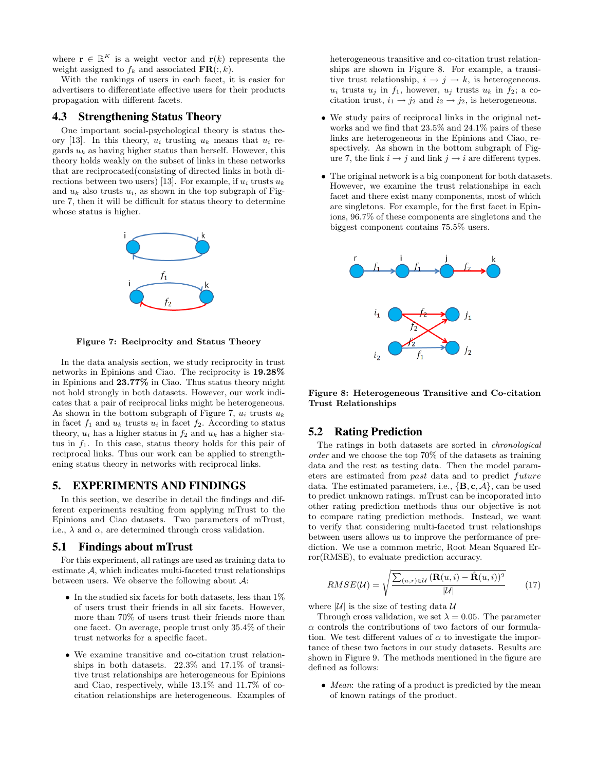where  $\mathbf{r} \in \mathbb{R}^K$  is a weight vector and  $\mathbf{r}(k)$  represents the weight assigned to  $f_k$  and associated  $\mathbf{FR}(:,k)$ .

With the rankings of users in each facet, it is easier for advertisers to differentiate effective users for their products propagation with different facets.

## 4.3 Strengthening Status Theory

One important social-psychological theory is status theory [13]. In this theory,  $u_i$  trusting  $u_k$  means that  $u_i$  regards  $u_k$  as having higher status than herself. However, this theory holds weakly on the subset of links in these networks that are reciprocated(consisting of directed links in both directions between two users) [13]. For example, if  $u_i$  trusts  $u_k$ and  $u_k$  also trusts  $u_i$ , as shown in the top subgraph of Figure 7, then it will be difficult for status theory to determine whose status is higher.



Figure 7: Reciprocity and Status Theory

In the data analysis section, we study reciprocity in trust networks in Epinions and Ciao. The reciprocity is 19.28% in Epinions and 23.77% in Ciao. Thus status theory might not hold strongly in both datasets. However, our work indicates that a pair of reciprocal links might be heterogeneous. As shown in the bottom subgraph of Figure 7,  $u_i$  trusts  $u_k$ in facet  $f_1$  and  $u_k$  trusts  $u_i$  in facet  $f_2$ . According to status theory,  $u_i$  has a higher status in  $f_2$  and  $u_k$  has a higher status in  $f_1$ . In this case, status theory holds for this pair of reciprocal links. Thus our work can be applied to strengthening status theory in networks with reciprocal links.

# 5. EXPERIMENTS AND FINDINGS

In this section, we describe in detail the findings and different experiments resulting from applying mTrust to the Epinions and Ciao datasets. Two parameters of mTrust, i.e.,  $\lambda$  and  $\alpha$ , are determined through cross validation.

#### 5.1 Findings about mTrust

For this experiment, all ratings are used as training data to estimate A, which indicates multi-faceted trust relationships between users. We observe the following about  $A$ :

- In the studied six facets for both datasets, less than  $1\%$ of users trust their friends in all six facets. However, more than 70% of users trust their friends more than one facet. On average, people trust only 35.4% of their trust networks for a specific facet.
- We examine transitive and co-citation trust relationships in both datasets. 22.3% and 17.1% of transitive trust relationships are heterogeneous for Epinions and Ciao, respectively, while 13.1% and 11.7% of cocitation relationships are heterogeneous. Examples of

heterogeneous transitive and co-citation trust relationships are shown in Figure 8. For example, a transitive trust relationship,  $i \rightarrow j \rightarrow k$ , is heterogeneous.  $u_i$  trusts  $u_j$  in  $f_1$ , however,  $u_j$  trusts  $u_k$  in  $f_2$ ; a cocitation trust,  $i_1 \rightarrow j_2$  and  $i_2 \rightarrow j_2$ , is heterogeneous.

- We study pairs of reciprocal links in the original networks and we find that 23.5% and 24.1% pairs of these links are heterogeneous in the Epinions and Ciao, respectively. As shown in the bottom subgraph of Figure 7, the link  $i \rightarrow j$  and link  $j \rightarrow i$  are different types.
- The original network is a big component for both datasets. However, we examine the trust relationships in each facet and there exist many components, most of which are singletons. For example, for the first facet in Epinions, 96.7% of these components are singletons and the biggest component contains 75.5% users.



Figure 8: Heterogeneous Transitive and Co-citation Trust Relationships

### 5.2 Rating Prediction

The ratings in both datasets are sorted in chronological order and we choose the top 70% of the datasets as training data and the rest as testing data. Then the model parameters are estimated from past data and to predict future data. The estimated parameters, i.e.,  $\{B, c, A\}$ , can be used to predict unknown ratings. mTrust can be incoporated into other rating prediction methods thus our objective is not to compare rating prediction methods. Instead, we want to verify that considering multi-faceted trust relationships between users allows us to improve the performance of prediction. We use a common metric, Root Mean Squared Error(RMSE), to evaluate prediction accuracy.

$$
RMSE(\mathcal{U}) = \sqrt{\frac{\sum_{(u,r)\in\mathcal{U}} (\mathbf{R}(u,i) - \hat{\mathbf{R}}(u,i))^2}{|\mathcal{U}|}}
$$
(17)

where  $|\mathcal{U}|$  is the size of testing data  $\mathcal{U}$ 

Through cross validation, we set  $\lambda = 0.05$ . The parameter  $\alpha$  controls the contributions of two factors of our formulation. We test different values of  $\alpha$  to investigate the importance of these two factors in our study datasets. Results are shown in Figure 9. The methods mentioned in the figure are defined as follows:

• Mean: the rating of a product is predicted by the mean of known ratings of the product.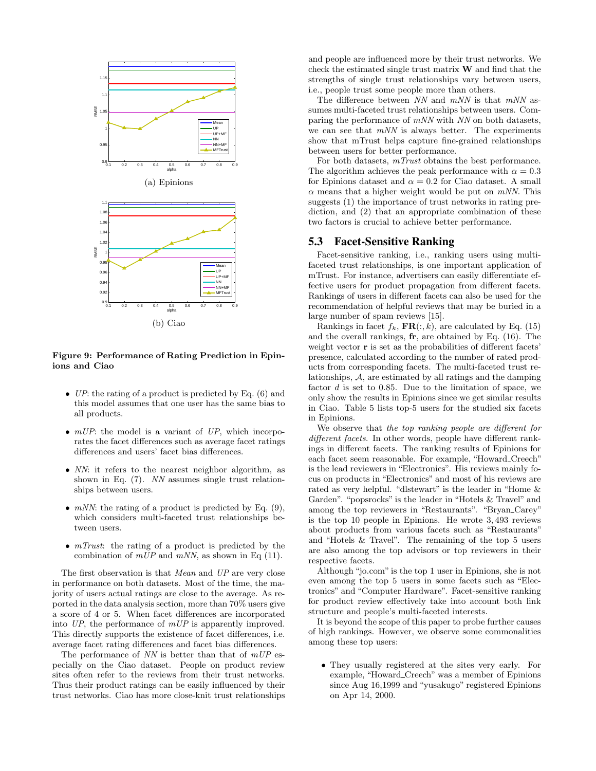

#### Figure 9: Performance of Rating Prediction in Epinions and Ciao

- UP: the rating of a product is predicted by Eq.  $(6)$  and this model assumes that one user has the same bias to all products.
- $mUP$ : the model is a variant of UP, which incorporates the facet differences such as average facet ratings differences and users' facet bias differences.
- NN: it refers to the nearest neighbor algorithm, as shown in Eq. (7). NN assumes single trust relationships between users.
- $mNN$ : the rating of a product is predicted by Eq. (9), which considers multi-faceted trust relationships between users.
- *mTrust*: the rating of a product is predicted by the combination of  $mUP$  and  $mNN$ , as shown in Eq (11).

The first observation is that Mean and UP are very close in performance on both datasets. Most of the time, the majority of users actual ratings are close to the average. As reported in the data analysis section, more than 70% users give a score of 4 or 5. When facet differences are incorporated into UP, the performance of mUP is apparently improved. This directly supports the existence of facet differences, i.e. average facet rating differences and facet bias differences.

The performance of  $NN$  is better than that of  $mUP$  especially on the Ciao dataset. People on product review sites often refer to the reviews from their trust networks. Thus their product ratings can be easily influenced by their trust networks. Ciao has more close-knit trust relationships and people are influenced more by their trust networks. We check the estimated single trust matrix W and find that the strengths of single trust relationships vary between users, i.e., people trust some people more than others.

The difference between  $NN$  and  $mNN$  is that  $mNN$  assumes multi-faceted trust relationships between users. Comparing the performance of  $mNN$  with  $NN$  on both datasets, we can see that  $mNN$  is always better. The experiments show that mTrust helps capture fine-grained relationships between users for better performance.

For both datasets, mTrust obtains the best performance. The algorithm achieves the peak performance with  $\alpha = 0.3$ for Epinions dataset and  $\alpha = 0.2$  for Ciao dataset. A small  $\alpha$  means that a higher weight would be put on *mNN*. This suggests (1) the importance of trust networks in rating prediction, and (2) that an appropriate combination of these two factors is crucial to achieve better performance.

### 5.3 Facet-Sensitive Ranking

Facet-sensitive ranking, i.e., ranking users using multifaceted trust relationships, is one important application of mTrust. For instance, advertisers can easily differentiate effective users for product propagation from different facets. Rankings of users in different facets can also be used for the recommendation of helpful reviews that may be buried in a large number of spam reviews [15].

Rankings in facet  $f_k$ ,  $\mathbf{FR}(:,k)$ , are calculated by Eq. (15) and the overall rankings, fr, are obtained by Eq. (16). The weight vector **r** is set as the probabilities of different facets' presence, calculated according to the number of rated products from corresponding facets. The multi-faceted trust relationships, A, are estimated by all ratings and the damping factor  $d$  is set to 0.85. Due to the limitation of space, we only show the results in Epinions since we get similar results in Ciao. Table 5 lists top-5 users for the studied six facets in Epinions.

We observe that the top ranking people are different for different facets. In other words, people have different rankings in different facets. The ranking results of Epinions for each facet seem reasonable. For example, "Howard Creech" is the lead reviewers in "Electronics". His reviews mainly focus on products in "Electronics" and most of his reviews are rated as very helpful. "dlstewart" is the leader in "Home & Garden". "popsrocks" is the leader in "Hotels & Travel" and among the top reviewers in "Restaurants". "Bryan Carey" is the top 10 people in Epinions. He wrote 3, 493 reviews about products from various facets such as "Restaurants" and "Hotels & Travel". The remaining of the top 5 users are also among the top advisors or top reviewers in their respective facets.

Although "jo.com" is the top 1 user in Epinions, she is not even among the top 5 users in some facets such as "Electronics" and "Computer Hardware". Facet-sensitive ranking for product review effectively take into account both link structure and people's multi-faceted interests.

It is beyond the scope of this paper to probe further causes of high rankings. However, we observe some commonalities among these top users:

• They usually registered at the sites very early. For example, "Howard Creech" was a member of Epinions since Aug 16,1999 and "yusakugo" registered Epinions on Apr 14, 2000.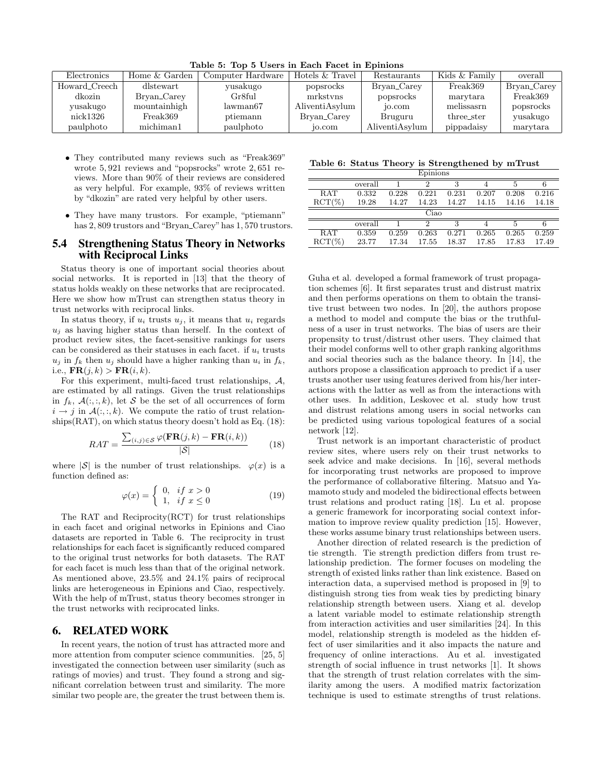| Electronics   | Home & Garden | Computer Hardware | Hotels & Travel | Restaurants    | Kids & Family | overall     |
|---------------|---------------|-------------------|-----------------|----------------|---------------|-------------|
| Howard_Creech | dlstewart     | yusakugo          | popsrocks       | Bryan_Carey    | Freak369      | Bryan_Carey |
| dkozin        | Bryan_Carey   | Gr8ful            | mrkstyns        | popsrocks      | marytara      | Freak369    |
| yusakugo      | mountainhigh  | lawman67          | AliventiAsylum  | $10.$ com      | melissasrn    | popsrocks   |
| nick1326      | Freak369      | ptiemann          | Bryan_Carey     | Bruguru        | three_ster    | yusakugo    |
| paulphoto     | michiman1     | paulphoto         | $10.$ com       | AliventiAsylum | pippadaisy    | marytara    |

Table 5: Top 5 Users in Each Facet in Epinions

- They contributed many reviews such as "Freak369" wrote 5, 921 reviews and "popsrocks" wrote 2, 651 reviews. More than 90% of their reviews are considered as very helpful. For example, 93% of reviews written by "dkozin" are rated very helpful by other users.
- They have many trustors. For example, "ptiemann" has 2,809 trustors and "Bryan\_Carey" has 1,570 trustors.

### 5.4 Strengthening Status Theory in Networks with Reciprocal Links

Status theory is one of important social theories about social networks. It is reported in [13] that the theory of status holds weakly on these networks that are reciprocated. Here we show how mTrust can strengthen status theory in trust networks with reciprocal links.

In status theory, if  $u_i$  trusts  $u_j$ , it means that  $u_i$  regards  $u_i$  as having higher status than herself. In the context of product review sites, the facet-sensitive rankings for users can be considered as their statuses in each facet. if  $u_i$  trusts  $u_i$  in  $f_k$  then  $u_i$  should have a higher ranking than  $u_i$  in  $f_k$ , i.e.,  $\mathbf{FR}(j,k) > \mathbf{FR}(i,k)$ .

For this experiment, multi-faced trust relationships, A, are estimated by all ratings. Given the trust relationships in  $f_k$ ,  $\mathcal{A}(:, :, k)$ , let S be the set of all occurrences of form  $i \rightarrow j$  in  $\mathcal{A}(:, k)$ . We compute the ratio of trust relationships $(RAT)$ , on which status theory doesn't hold as Eq.  $(18)$ :

$$
RAT = \frac{\sum_{(i,j)\in\mathcal{S}} \varphi(\mathbf{FR}(j,k) - \mathbf{FR}(i,k))}{|\mathcal{S}|} \tag{18}
$$

where  $|S|$  is the number of trust relationships.  $\varphi(x)$  is a function defined as:

$$
\varphi(x) = \begin{cases} 0, & \text{if } x > 0 \\ 1, & \text{if } x \le 0 \end{cases}
$$
 (19)

The RAT and Reciprocity(RCT) for trust relationships in each facet and original networks in Epinions and Ciao datasets are reported in Table 6. The reciprocity in trust relationships for each facet is significantly reduced compared to the original trust networks for both datasets. The RAT for each facet is much less than that of the original network. As mentioned above, 23.5% and 24.1% pairs of reciprocal links are heterogeneous in Epinions and Ciao, respectively. With the help of mTrust, status theory becomes stronger in the trust networks with reciprocated links.

# 6. RELATED WORK

In recent years, the notion of trust has attracted more and more attention from computer science communities. [25, 5] investigated the connection between user similarity (such as ratings of movies) and trust. They found a strong and significant correlation between trust and similarity. The more similar two people are, the greater the trust between them is.

#### Table 6: Status Theory is Strengthened by mTrust

| Epinions           |         |       |       |       |       |       |       |
|--------------------|---------|-------|-------|-------|-------|-------|-------|
|                    | overall |       | 2     | 3     |       | 5     | 6     |
| <b>RAT</b>         | 0.332   | 0.228 | 0.221 | 0.231 | 0.207 | 0.208 | 0.216 |
| $\mathrm{RCT}(\%)$ | 19.28   | 14.27 | 14.23 | 14.27 | 14.15 | 14.16 | 14.18 |
|                    |         |       | Ciao  |       |       |       |       |
|                    | overall |       | 2     | 3     |       | 5     | 6     |
| <b>RAT</b>         | 0.359   | 0.259 | 0.263 | 0.271 | 0.265 | 0.265 | 0.259 |
| $\mathrm{RCT}(\%)$ | 23.77   | 17.34 | 17.55 | 18.37 | 17.85 | 17.83 | 17.49 |

Guha et al. developed a formal framework of trust propagation schemes [6]. It first separates trust and distrust matrix and then performs operations on them to obtain the transitive trust between two nodes. In [20], the authors propose a method to model and compute the bias or the truthfulness of a user in trust networks. The bias of users are their propensity to trust/distrust other users. They claimed that their model conforms well to other graph ranking algorithms and social theories such as the balance theory. In [14], the authors propose a classification approach to predict if a user trusts another user using features derived from his/her interactions with the latter as well as from the interactions with other uses. In addition, Leskovec et al. study how trust and distrust relations among users in social networks can be predicted using various topological features of a social network [12].

Trust network is an important characteristic of product review sites, where users rely on their trust networks to seek advice and make decisions. In [16], several methods for incorporating trust networks are proposed to improve the performance of collaborative filtering. Matsuo and Yamamoto study and modeled the bidirectional effects between trust relations and product rating [18]. Lu et al. propose a generic framework for incorporating social context information to improve review quality prediction [15]. However, these works assume binary trust relationships between users.

Another direction of related research is the prediction of tie strength. Tie strength prediction differs from trust relationship prediction. The former focuses on modeling the strength of existed links rather than link existence. Based on interaction data, a supervised method is proposed in [9] to distinguish strong ties from weak ties by predicting binary relationship strength between users. Xiang et al. develop a latent variable model to estimate relationship strength from interaction activities and user similarities [24]. In this model, relationship strength is modeled as the hidden effect of user similarities and it also impacts the nature and frequency of online interactions. Au et al. investigated strength of social influence in trust networks [1]. It shows that the strength of trust relation correlates with the similarity among the users. A modified matrix factorization technique is used to estimate strengths of trust relations.